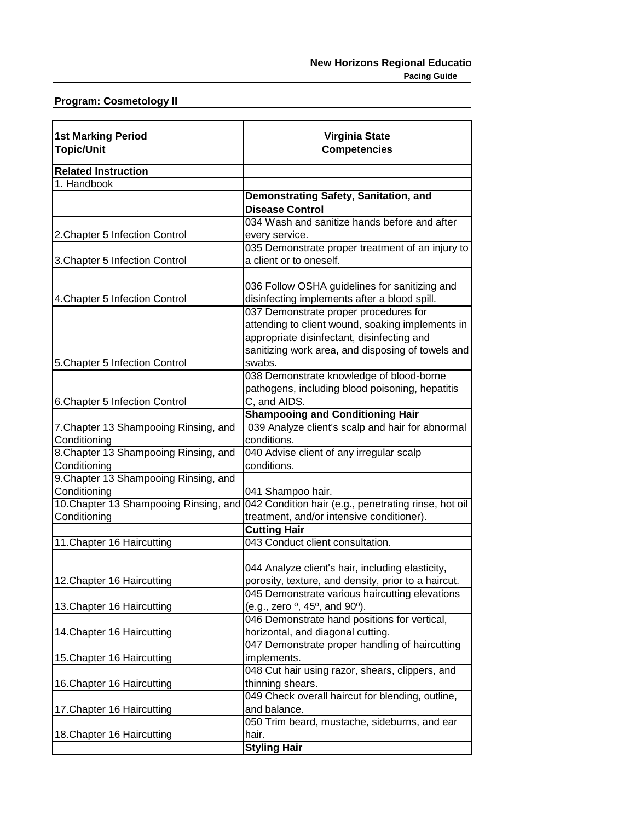## **New Horizons Regional Educatio**

**Pacing Guide**

## **Program: Cosmetology II**

| <b>1st Marking Period</b><br><b>Topic/Unit</b> | <b>Virginia State</b><br><b>Competencies</b>                        |
|------------------------------------------------|---------------------------------------------------------------------|
|                                                |                                                                     |
| <b>Related Instruction</b>                     |                                                                     |
| 1. Handbook                                    |                                                                     |
|                                                | Demonstrating Safety, Sanitation, and                               |
|                                                | <b>Disease Control</b>                                              |
|                                                | 034 Wash and sanitize hands before and after                        |
| 2. Chapter 5 Infection Control                 | every service.                                                      |
|                                                | 035 Demonstrate proper treatment of an injury to                    |
| 3. Chapter 5 Infection Control                 | a client or to oneself.                                             |
|                                                |                                                                     |
|                                                | 036 Follow OSHA guidelines for sanitizing and                       |
| 4. Chapter 5 Infection Control                 | disinfecting implements after a blood spill.                        |
|                                                | 037 Demonstrate proper procedures for                               |
|                                                | attending to client wound, soaking implements in                    |
|                                                | appropriate disinfectant, disinfecting and                          |
|                                                | sanitizing work area, and disposing of towels and                   |
| 5. Chapter 5 Infection Control                 | swabs.                                                              |
|                                                | 038 Demonstrate knowledge of blood-borne                            |
|                                                | pathogens, including blood poisoning, hepatitis                     |
| 6. Chapter 5 Infection Control                 | C, and AIDS.                                                        |
|                                                | <b>Shampooing and Conditioning Hair</b>                             |
| 7. Chapter 13 Shampooing Rinsing, and          | 039 Analyze client's scalp and hair for abnormal                    |
| Conditioning                                   | conditions.                                                         |
| 8. Chapter 13 Shampooing Rinsing, and          | 040 Advise client of any irregular scalp                            |
| Conditioning                                   | conditions.                                                         |
| 9. Chapter 13 Shampooing Rinsing, and          |                                                                     |
| Conditioning                                   | 041 Shampoo hair.                                                   |
| 10. Chapter 13 Shampooing Rinsing, and         | 042 Condition hair (e.g., penetrating rinse, hot oil                |
| Conditioning                                   | treatment, and/or intensive conditioner).                           |
|                                                | <b>Cutting Hair</b>                                                 |
| 11. Chapter 16 Haircutting                     | 043 Conduct client consultation.                                    |
|                                                |                                                                     |
|                                                | 044 Analyze client's hair, including elasticity,                    |
| 12. Chapter 16 Haircutting                     | porosity, texture, and density, prior to a haircut.                 |
|                                                | 045 Demonstrate various haircutting elevations                      |
| 13. Chapter 16 Haircutting                     | (e.g., zero <sup>o</sup> , 45 <sup>o</sup> , and 90 <sup>o</sup> ). |
|                                                | 046 Demonstrate hand positions for vertical,                        |
| 14. Chapter 16 Haircutting                     | horizontal, and diagonal cutting.                                   |
|                                                | 047 Demonstrate proper handling of haircutting                      |
| 15. Chapter 16 Haircutting                     | implements.                                                         |
|                                                | 048 Cut hair using razor, shears, clippers, and                     |
| 16. Chapter 16 Haircutting                     | thinning shears.                                                    |
|                                                | 049 Check overall haircut for blending, outline,                    |
| 17. Chapter 16 Haircutting                     | and balance.                                                        |
|                                                | 050 Trim beard, mustache, sideburns, and ear                        |
| 18. Chapter 16 Haircutting                     | hair.                                                               |
|                                                | <b>Styling Hair</b>                                                 |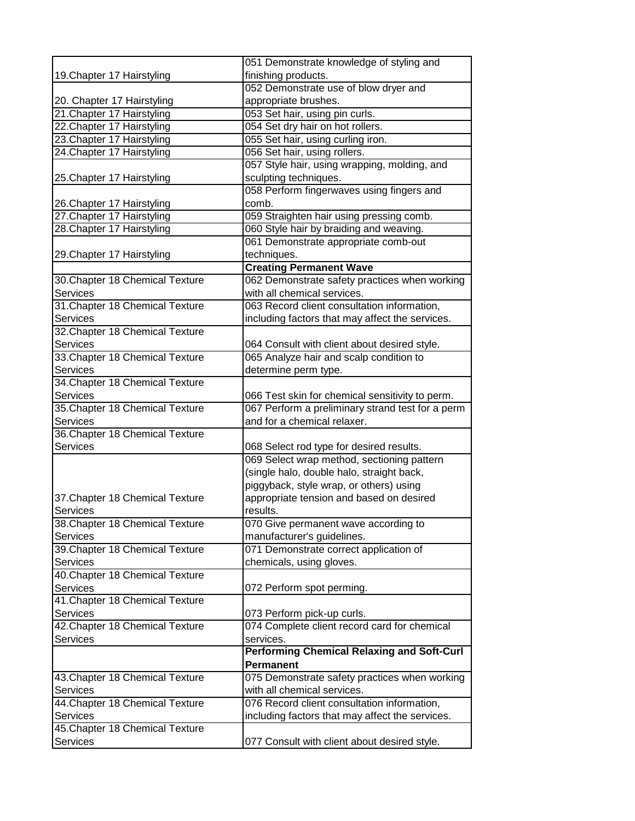|                                 | 051 Demonstrate knowledge of styling and          |  |
|---------------------------------|---------------------------------------------------|--|
| 19. Chapter 17 Hairstyling      | finishing products.                               |  |
|                                 | 052 Demonstrate use of blow dryer and             |  |
| 20. Chapter 17 Hairstyling      | appropriate brushes.                              |  |
| 21. Chapter 17 Hairstyling      | 053 Set hair, using pin curls.                    |  |
| 22. Chapter 17 Hairstyling      | 054 Set dry hair on hot rollers.                  |  |
| 23. Chapter 17 Hairstyling      | 055 Set hair, using curling iron.                 |  |
| 24. Chapter 17 Hairstyling      | 056 Set hair, using rollers.                      |  |
|                                 | 057 Style hair, using wrapping, molding, and      |  |
| 25. Chapter 17 Hairstyling      | sculpting techniques.                             |  |
|                                 | 058 Perform fingerwaves using fingers and         |  |
| 26. Chapter 17 Hairstyling      | comb.                                             |  |
| 27. Chapter 17 Hairstyling      | 059 Straighten hair using pressing comb.          |  |
| 28. Chapter 17 Hairstyling      | 060 Style hair by braiding and weaving.           |  |
|                                 | 061 Demonstrate appropriate comb-out              |  |
| 29. Chapter 17 Hairstyling      | techniques.                                       |  |
|                                 | <b>Creating Permanent Wave</b>                    |  |
| 30. Chapter 18 Chemical Texture | 062 Demonstrate safety practices when working     |  |
| <b>Services</b>                 | with all chemical services.                       |  |
| 31. Chapter 18 Chemical Texture | 063 Record client consultation information,       |  |
| Services                        | including factors that may affect the services.   |  |
| 32. Chapter 18 Chemical Texture |                                                   |  |
| Services                        | 064 Consult with client about desired style.      |  |
| 33. Chapter 18 Chemical Texture | 065 Analyze hair and scalp condition to           |  |
| <b>Services</b>                 | determine perm type.                              |  |
| 34. Chapter 18 Chemical Texture |                                                   |  |
| Services                        | 066 Test skin for chemical sensitivity to perm.   |  |
| 35. Chapter 18 Chemical Texture | 067 Perform a preliminary strand test for a perm  |  |
| Services                        | and for a chemical relaxer.                       |  |
| 36. Chapter 18 Chemical Texture |                                                   |  |
| Services                        | 068 Select rod type for desired results.          |  |
|                                 | 069 Select wrap method, sectioning pattern        |  |
|                                 | (single halo, double halo, straight back,         |  |
|                                 | piggyback, style wrap, or others) using           |  |
| 37. Chapter 18 Chemical Texture | appropriate tension and based on desired          |  |
| <b>Services</b>                 | results.                                          |  |
| 38. Chapter 18 Chemical Texture | 070 Give permanent wave according to              |  |
| Services                        | manufacturer's guidelines.                        |  |
| 39. Chapter 18 Chemical Texture | 071 Demonstrate correct application of            |  |
| Services                        | chemicals, using gloves.                          |  |
| 40. Chapter 18 Chemical Texture |                                                   |  |
| Services                        | 072 Perform spot perming.                         |  |
| 41. Chapter 18 Chemical Texture |                                                   |  |
| <b>Services</b>                 | 073 Perform pick-up curls.                        |  |
| 42. Chapter 18 Chemical Texture | 074 Complete client record card for chemical      |  |
| Services                        | services.                                         |  |
|                                 | <b>Performing Chemical Relaxing and Soft-Curl</b> |  |
|                                 | <b>Permanent</b>                                  |  |
| 43. Chapter 18 Chemical Texture | 075 Demonstrate safety practices when working     |  |
| Services                        | with all chemical services.                       |  |
| 44. Chapter 18 Chemical Texture | 076 Record client consultation information,       |  |
| Services                        | including factors that may affect the services.   |  |
| 45. Chapter 18 Chemical Texture |                                                   |  |
| Services                        | 077 Consult with client about desired style.      |  |
|                                 |                                                   |  |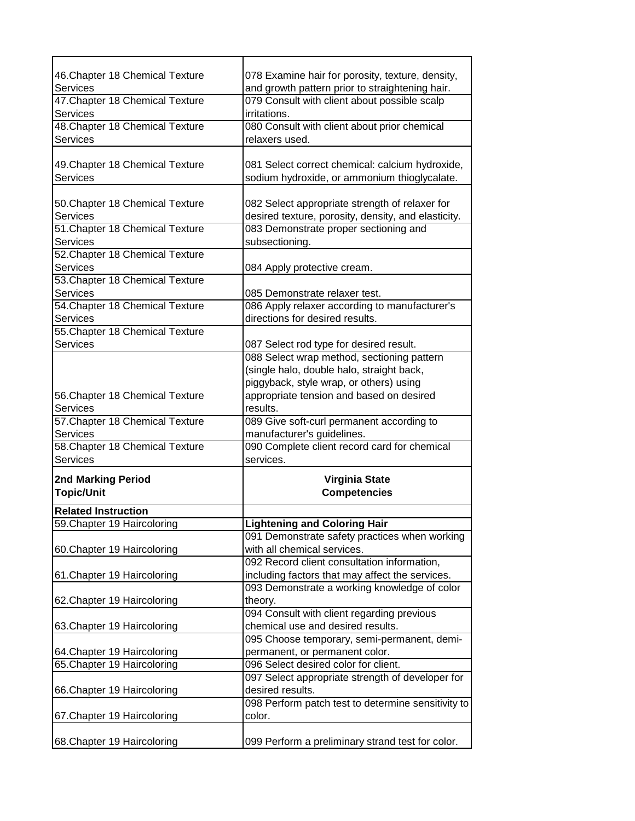| 46. Chapter 18 Chemical Texture                    | 078 Examine hair for porosity, texture, density,                                                      |
|----------------------------------------------------|-------------------------------------------------------------------------------------------------------|
| <b>Services</b>                                    | and growth pattern prior to straightening hair.                                                       |
| 47. Chapter 18 Chemical Texture                    | 079 Consult with client about possible scalp                                                          |
| <b>Services</b>                                    | irritations.                                                                                          |
| 48. Chapter 18 Chemical Texture                    | 080 Consult with client about prior chemical                                                          |
| <b>Services</b>                                    | relaxers used.                                                                                        |
|                                                    |                                                                                                       |
| 49. Chapter 18 Chemical Texture                    | 081 Select correct chemical: calcium hydroxide,                                                       |
| <b>Services</b>                                    | sodium hydroxide, or ammonium thioglycalate.                                                          |
|                                                    |                                                                                                       |
| 50. Chapter 18 Chemical Texture<br><b>Services</b> | 082 Select appropriate strength of relaxer for<br>desired texture, porosity, density, and elasticity. |
| 51. Chapter 18 Chemical Texture                    | 083 Demonstrate proper sectioning and                                                                 |
| <b>Services</b>                                    | subsectioning.                                                                                        |
| 52. Chapter 18 Chemical Texture                    |                                                                                                       |
| Services                                           | 084 Apply protective cream.                                                                           |
| 53. Chapter 18 Chemical Texture                    |                                                                                                       |
| <b>Services</b>                                    | 085 Demonstrate relaxer test.                                                                         |
| 54. Chapter 18 Chemical Texture                    | 086 Apply relaxer according to manufacturer's                                                         |
| Services                                           | directions for desired results.                                                                       |
| 55. Chapter 18 Chemical Texture                    |                                                                                                       |
| <b>Services</b>                                    | 087 Select rod type for desired result.                                                               |
|                                                    | 088 Select wrap method, sectioning pattern                                                            |
|                                                    | (single halo, double halo, straight back,                                                             |
|                                                    | piggyback, style wrap, or others) using                                                               |
| 56. Chapter 18 Chemical Texture                    | appropriate tension and based on desired                                                              |
| <b>Services</b>                                    | results.                                                                                              |
| 57. Chapter 18 Chemical Texture                    | 089 Give soft-curl permanent according to                                                             |
| <b>Services</b><br>58. Chapter 18 Chemical Texture | manufacturer's guidelines.<br>090 Complete client record card for chemical                            |
| <b>Services</b>                                    | services.                                                                                             |
|                                                    |                                                                                                       |
| 2nd Marking Period                                 | <b>Virginia State</b>                                                                                 |
| <b>Topic/Unit</b>                                  | <b>Competencies</b>                                                                                   |
| <b>Related Instruction</b>                         |                                                                                                       |
| 59. Chapter 19 Haircoloring                        | <b>Lightening and Coloring Hair</b>                                                                   |
|                                                    | 091 Demonstrate safety practices when working                                                         |
| 60. Chapter 19 Haircoloring                        | with all chemical services.                                                                           |
|                                                    | 092 Record client consultation information,                                                           |
| 61. Chapter 19 Haircoloring                        | including factors that may affect the services.                                                       |
| 62. Chapter 19 Haircoloring                        | 093 Demonstrate a working knowledge of color<br>theory.                                               |
|                                                    | 094 Consult with client regarding previous                                                            |
| 63. Chapter 19 Haircoloring                        | chemical use and desired results.                                                                     |
|                                                    | 095 Choose temporary, semi-permanent, demi-                                                           |
| 64. Chapter 19 Haircoloring                        | permanent, or permanent color.                                                                        |
| 65. Chapter 19 Haircoloring                        | 096 Select desired color for client.                                                                  |
|                                                    | 097 Select appropriate strength of developer for                                                      |
| 66. Chapter 19 Haircoloring                        | desired results.                                                                                      |
|                                                    | 098 Perform patch test to determine sensitivity to                                                    |
| 67. Chapter 19 Haircoloring                        | color.                                                                                                |
|                                                    |                                                                                                       |
| 68. Chapter 19 Haircoloring                        | 099 Perform a preliminary strand test for color.                                                      |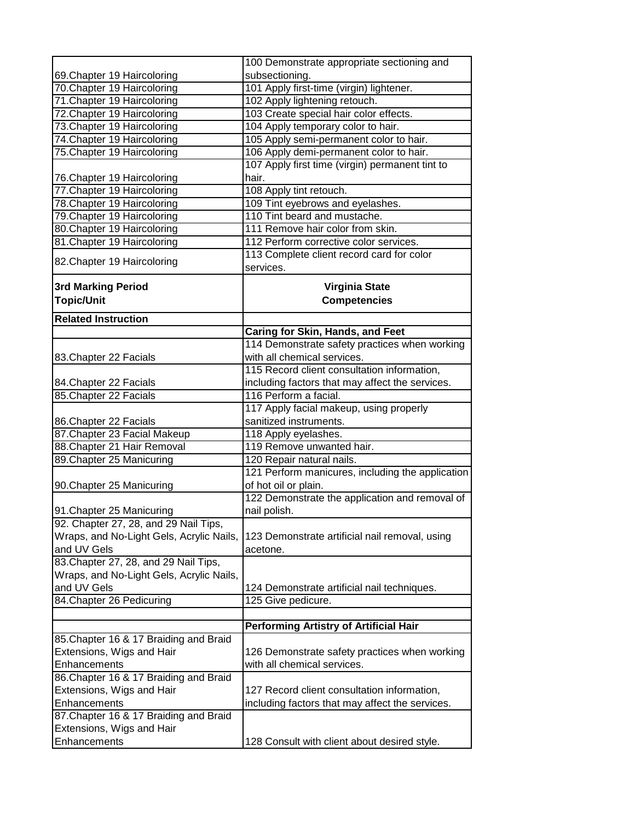|                                          | 100 Demonstrate appropriate sectioning and       |
|------------------------------------------|--------------------------------------------------|
| 69. Chapter 19 Haircoloring              | subsectioning.                                   |
| 70. Chapter 19 Haircoloring              | 101 Apply first-time (virgin) lightener.         |
| 71. Chapter 19 Haircoloring              | 102 Apply lightening retouch.                    |
| 72. Chapter 19 Haircoloring              | 103 Create special hair color effects.           |
| 73. Chapter 19 Haircoloring              | 104 Apply temporary color to hair.               |
| 74. Chapter 19 Haircoloring              | 105 Apply semi-permanent color to hair.          |
| 75. Chapter 19 Haircoloring              | 106 Apply demi-permanent color to hair.          |
|                                          | 107 Apply first time (virgin) permanent tint to  |
| 76. Chapter 19 Haircoloring              | hair.                                            |
| 77. Chapter 19 Haircoloring              | 108 Apply tint retouch.                          |
| 78. Chapter 19 Haircoloring              | 109 Tint eyebrows and eyelashes.                 |
| 79. Chapter 19 Haircoloring              | 110 Tint beard and mustache.                     |
| 80. Chapter 19 Haircoloring              | 111 Remove hair color from skin.                 |
| 81. Chapter 19 Haircoloring              | 112 Perform corrective color services.           |
|                                          | 113 Complete client record card for color        |
| 82. Chapter 19 Haircoloring              | services.                                        |
| <b>3rd Marking Period</b>                | <b>Virginia State</b>                            |
| <b>Topic/Unit</b>                        | <b>Competencies</b>                              |
|                                          |                                                  |
| <b>Related Instruction</b>               |                                                  |
|                                          | <b>Caring for Skin, Hands, and Feet</b>          |
|                                          | 114 Demonstrate safety practices when working    |
| 83. Chapter 22 Facials                   | with all chemical services.                      |
|                                          | 115 Record client consultation information,      |
| 84. Chapter 22 Facials                   | including factors that may affect the services.  |
| 85. Chapter 22 Facials                   | 116 Perform a facial.                            |
|                                          | 117 Apply facial makeup, using properly          |
| 86. Chapter 22 Facials                   | sanitized instruments.                           |
| 87. Chapter 23 Facial Makeup             | 118 Apply eyelashes.                             |
| 88. Chapter 21 Hair Removal              | 119 Remove unwanted hair.                        |
| 89. Chapter 25 Manicuring                | 120 Repair natural nails.                        |
|                                          | 121 Perform manicures, including the application |
| 90. Chapter 25 Manicuring                | of hot oil or plain.                             |
|                                          | 122 Demonstrate the application and removal of   |
| 91. Chapter 25 Manicuring                | nail polish.                                     |
| 92. Chapter 27, 28, and 29 Nail Tips,    |                                                  |
| Wraps, and No-Light Gels, Acrylic Nails, | 123 Demonstrate artificial nail removal, using   |
| and UV Gels                              | acetone.                                         |
| 83. Chapter 27, 28, and 29 Nail Tips,    |                                                  |
| Wraps, and No-Light Gels, Acrylic Nails, |                                                  |
| and UV Gels                              | 124 Demonstrate artificial nail techniques.      |
| 84. Chapter 26 Pedicuring                | 125 Give pedicure.                               |
|                                          |                                                  |
|                                          | <b>Performing Artistry of Artificial Hair</b>    |
| 85. Chapter 16 & 17 Braiding and Braid   |                                                  |
| Extensions, Wigs and Hair                | 126 Demonstrate safety practices when working    |
| Enhancements                             | with all chemical services.                      |
| 86. Chapter 16 & 17 Braiding and Braid   |                                                  |
| Extensions, Wigs and Hair                | 127 Record client consultation information,      |
| Enhancements                             | including factors that may affect the services.  |
| 87. Chapter 16 & 17 Braiding and Braid   |                                                  |
| Extensions, Wigs and Hair                |                                                  |
| Enhancements                             | 128 Consult with client about desired style.     |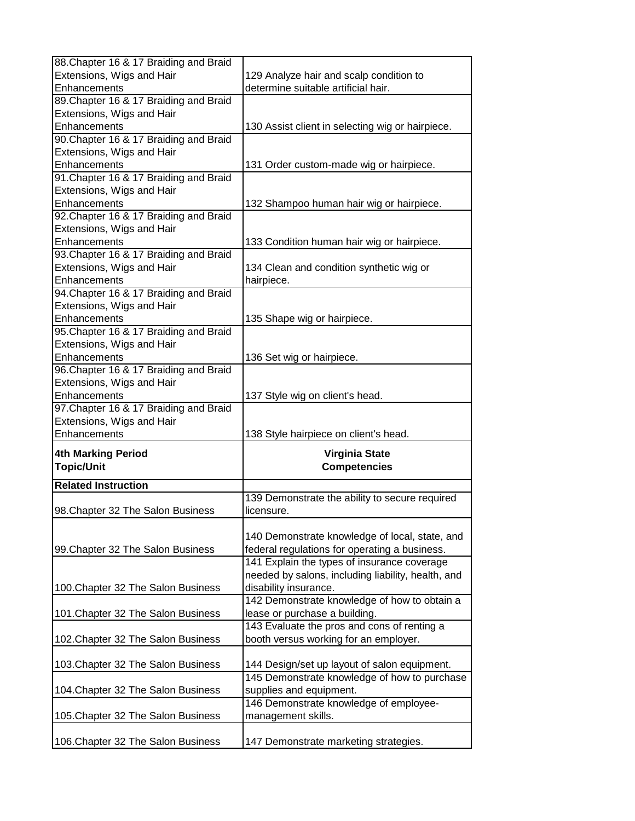| 88. Chapter 16 & 17 Braiding and Braid          |                                                                       |
|-------------------------------------------------|-----------------------------------------------------------------------|
| Extensions, Wigs and Hair                       | 129 Analyze hair and scalp condition to                               |
| Enhancements                                    | determine suitable artificial hair.                                   |
| 89. Chapter 16 & 17 Braiding and Braid          |                                                                       |
| Extensions, Wigs and Hair                       |                                                                       |
| Enhancements                                    | 130 Assist client in selecting wig or hairpiece.                      |
| 90. Chapter 16 & 17 Braiding and Braid          |                                                                       |
| Extensions, Wigs and Hair                       |                                                                       |
| Enhancements                                    | 131 Order custom-made wig or hairpiece.                               |
| 91. Chapter 16 & 17 Braiding and Braid          |                                                                       |
| Extensions, Wigs and Hair                       |                                                                       |
| Enhancements                                    | 132 Shampoo human hair wig or hairpiece.                              |
| 92. Chapter 16 & 17 Braiding and Braid          |                                                                       |
| Extensions, Wigs and Hair                       |                                                                       |
| Enhancements                                    | 133 Condition human hair wig or hairpiece.                            |
| 93. Chapter 16 & 17 Braiding and Braid          |                                                                       |
| Extensions, Wigs and Hair                       | 134 Clean and condition synthetic wig or                              |
| Enhancements                                    | hairpiece.                                                            |
| 94. Chapter 16 & 17 Braiding and Braid          |                                                                       |
| Extensions, Wigs and Hair                       |                                                                       |
| Enhancements                                    | 135 Shape wig or hairpiece.                                           |
| 95. Chapter 16 & 17 Braiding and Braid          |                                                                       |
| Extensions, Wigs and Hair                       |                                                                       |
| Enhancements                                    | 136 Set wig or hairpiece.                                             |
| 96. Chapter 16 & 17 Braiding and Braid          |                                                                       |
| Extensions, Wigs and Hair                       |                                                                       |
| Enhancements<br>137 Style wig on client's head. |                                                                       |
|                                                 |                                                                       |
|                                                 |                                                                       |
| 97. Chapter 16 & 17 Braiding and Braid          |                                                                       |
| Extensions, Wigs and Hair                       |                                                                       |
| Enhancements                                    | 138 Style hairpiece on client's head.                                 |
| <b>4th Marking Period</b>                       | <b>Virginia State</b>                                                 |
| <b>Topic/Unit</b>                               | <b>Competencies</b>                                                   |
| <b>Related Instruction</b>                      |                                                                       |
|                                                 | 139 Demonstrate the ability to secure required                        |
|                                                 | licensure.                                                            |
| 98. Chapter 32 The Salon Business               |                                                                       |
|                                                 | 140 Demonstrate knowledge of local, state, and                        |
|                                                 | federal regulations for operating a business.                         |
| 99. Chapter 32 The Salon Business               | 141 Explain the types of insurance coverage                           |
|                                                 |                                                                       |
|                                                 | needed by salons, including liability, health, and                    |
| 100. Chapter 32 The Salon Business              | disability insurance.<br>142 Demonstrate knowledge of how to obtain a |
| 101. Chapter 32 The Salon Business              |                                                                       |
|                                                 | lease or purchase a building.                                         |
|                                                 | 143 Evaluate the pros and cons of renting a                           |
| 102. Chapter 32 The Salon Business              | booth versus working for an employer.                                 |
| 103. Chapter 32 The Salon Business              | 144 Design/set up layout of salon equipment.                          |
|                                                 | 145 Demonstrate knowledge of how to purchase                          |
| 104. Chapter 32 The Salon Business              | supplies and equipment.                                               |
|                                                 | 146 Demonstrate knowledge of employee-                                |
| 105. Chapter 32 The Salon Business              | management skills.                                                    |
|                                                 |                                                                       |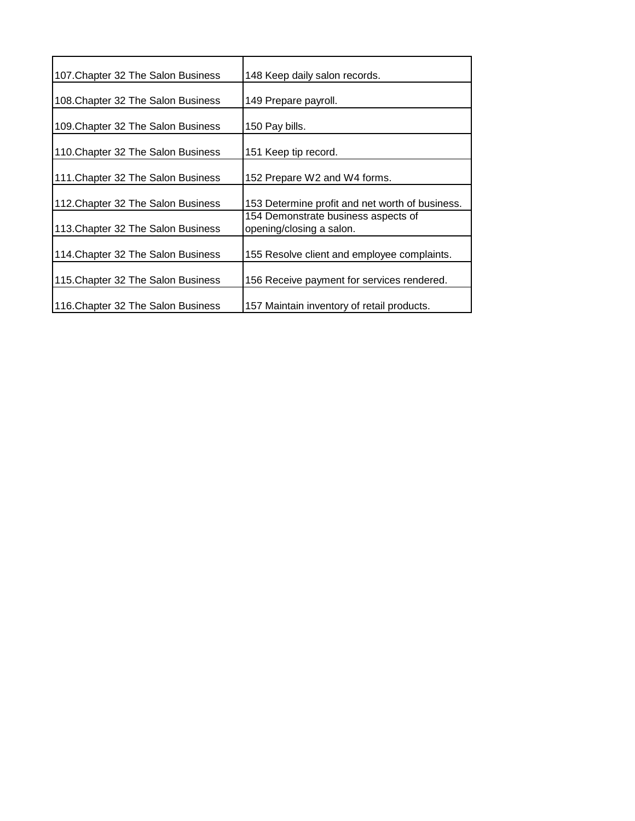| 107. Chapter 32 The Salon Business | 148 Keep daily salon records.                                   |
|------------------------------------|-----------------------------------------------------------------|
| 108. Chapter 32 The Salon Business | 149 Prepare payroll.                                            |
| 109. Chapter 32 The Salon Business | 150 Pay bills.                                                  |
| 110. Chapter 32 The Salon Business | 151 Keep tip record.                                            |
| 111. Chapter 32 The Salon Business | 152 Prepare W2 and W4 forms.                                    |
| 112. Chapter 32 The Salon Business | 153 Determine profit and net worth of business.                 |
| 113. Chapter 32 The Salon Business | 154 Demonstrate business aspects of<br>opening/closing a salon. |
| 114. Chapter 32 The Salon Business | 155 Resolve client and employee complaints.                     |
| 115. Chapter 32 The Salon Business | 156 Receive payment for services rendered.                      |
| 116. Chapter 32 The Salon Business | 157 Maintain inventory of retail products.                      |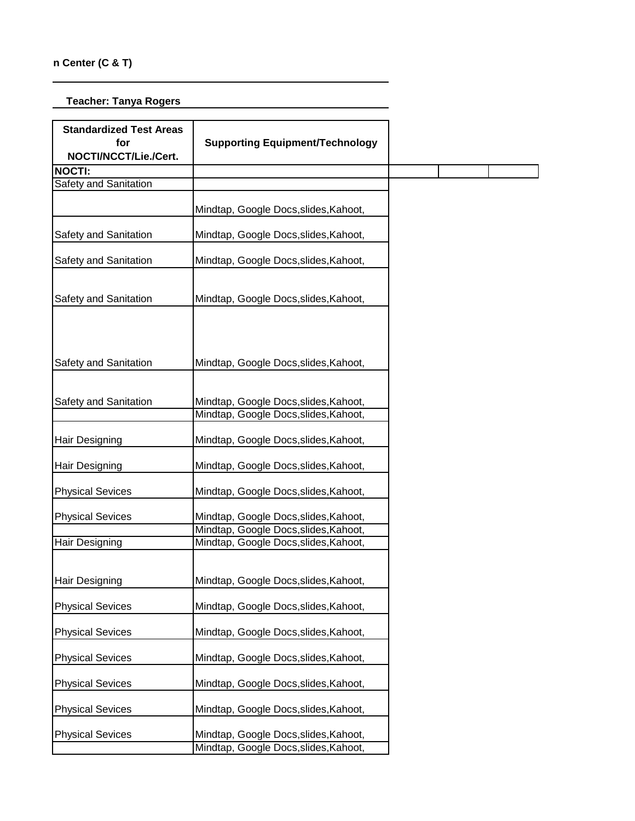## **Teacher: Tanya Rogers**

| <b>Standardized Test Areas</b><br>for<br>NOCTI/NCCT/Lie./Cert. | <b>Supporting Equipment/Technology</b>                                         |  |  |
|----------------------------------------------------------------|--------------------------------------------------------------------------------|--|--|
| NOCTI:                                                         |                                                                                |  |  |
| Safety and Sanitation                                          |                                                                                |  |  |
|                                                                | Mindtap, Google Docs, slides, Kahoot,                                          |  |  |
| Safety and Sanitation                                          | Mindtap, Google Docs, slides, Kahoot,                                          |  |  |
| Safety and Sanitation                                          | Mindtap, Google Docs, slides, Kahoot,                                          |  |  |
| Safety and Sanitation                                          | Mindtap, Google Docs, slides, Kahoot,                                          |  |  |
| Safety and Sanitation                                          | Mindtap, Google Docs, slides, Kahoot,                                          |  |  |
| Safety and Sanitation                                          | Mindtap, Google Docs, slides, Kahoot,<br>Mindtap, Google Docs, slides, Kahoot, |  |  |
| Hair Designing                                                 | Mindtap, Google Docs, slides, Kahoot,                                          |  |  |
| <b>Hair Designing</b>                                          | Mindtap, Google Docs, slides, Kahoot,                                          |  |  |
| <b>Physical Sevices</b>                                        | Mindtap, Google Docs, slides, Kahoot,                                          |  |  |
| <b>Physical Sevices</b>                                        | Mindtap, Google Docs, slides, Kahoot,<br>Mindtap, Google Docs, slides, Kahoot, |  |  |
| <b>Hair Designing</b>                                          | Mindtap, Google Docs, slides, Kahoot,                                          |  |  |
| <b>Hair Designing</b>                                          | Mindtap, Google Docs, slides, Kahoot,                                          |  |  |
| <b>Physical Sevices</b>                                        | Mindtap, Google Docs, slides, Kahoot,                                          |  |  |
| <b>Physical Sevices</b>                                        | Mindtap, Google Docs, slides, Kahoot,                                          |  |  |
| <b>Physical Sevices</b>                                        | Mindtap, Google Docs, slides, Kahoot,                                          |  |  |
| <b>Physical Sevices</b>                                        | Mindtap, Google Docs, slides, Kahoot,                                          |  |  |
| <b>Physical Sevices</b>                                        | Mindtap, Google Docs, slides, Kahoot,                                          |  |  |
| <b>Physical Sevices</b>                                        | Mindtap, Google Docs, slides, Kahoot,<br>Mindtap, Google Docs, slides, Kahoot, |  |  |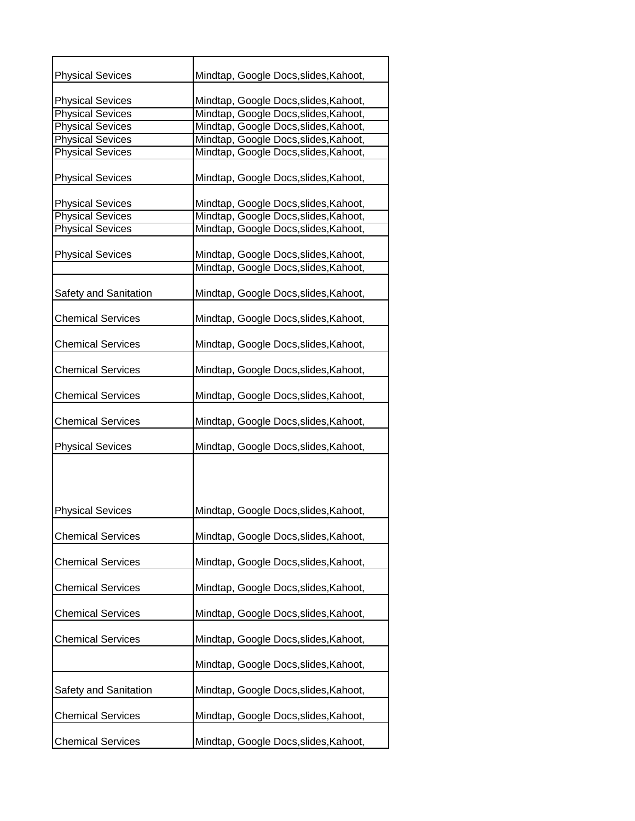| <b>Physical Sevices</b>  | Mindtap, Google Docs, slides, Kahoot, |
|--------------------------|---------------------------------------|
|                          |                                       |
| <b>Physical Sevices</b>  | Mindtap, Google Docs, slides, Kahoot, |
| <b>Physical Sevices</b>  | Mindtap, Google Docs, slides, Kahoot, |
| <b>Physical Sevices</b>  | Mindtap, Google Docs, slides, Kahoot, |
| <b>Physical Sevices</b>  | Mindtap, Google Docs, slides, Kahoot, |
| <b>Physical Sevices</b>  | Mindtap, Google Docs, slides, Kahoot, |
| <b>Physical Sevices</b>  | Mindtap, Google Docs, slides, Kahoot, |
| <b>Physical Sevices</b>  | Mindtap, Google Docs, slides, Kahoot, |
| <b>Physical Sevices</b>  | Mindtap, Google Docs, slides, Kahoot, |
|                          | Mindtap, Google Docs, slides, Kahoot, |
| <b>Physical Sevices</b>  |                                       |
| <b>Physical Sevices</b>  | Mindtap, Google Docs, slides, Kahoot, |
|                          | Mindtap, Google Docs, slides, Kahoot, |
| Safety and Sanitation    | Mindtap, Google Docs, slides, Kahoot, |
|                          |                                       |
| <b>Chemical Services</b> | Mindtap, Google Docs, slides, Kahoot, |
| <b>Chemical Services</b> | Mindtap, Google Docs, slides, Kahoot, |
| <b>Chemical Services</b> | Mindtap, Google Docs, slides, Kahoot, |
|                          |                                       |
| <b>Chemical Services</b> | Mindtap, Google Docs, slides, Kahoot, |
| <b>Chemical Services</b> | Mindtap, Google Docs, slides, Kahoot, |
| <b>Physical Sevices</b>  | Mindtap, Google Docs, slides, Kahoot, |
|                          |                                       |
|                          |                                       |
| <b>Physical Sevices</b>  | Mindtap, Google Docs, slides, Kahoot, |
| <b>Chemical Services</b> | Mindtap, Google Docs, slides, Kahoot, |
|                          |                                       |
| <b>Chemical Services</b> | Mindtap, Google Docs, slides, Kahoot, |
| <b>Chemical Services</b> | Mindtap, Google Docs, slides, Kahoot, |
| <b>Chemical Services</b> | Mindtap, Google Docs, slides, Kahoot, |
|                          |                                       |
| <b>Chemical Services</b> | Mindtap, Google Docs, slides, Kahoot, |
|                          | Mindtap, Google Docs, slides, Kahoot, |
| Safety and Sanitation    | Mindtap, Google Docs, slides, Kahoot, |
| <b>Chemical Services</b> | Mindtap, Google Docs, slides, Kahoot, |
|                          |                                       |
| <b>Chemical Services</b> | Mindtap, Google Docs, slides, Kahoot, |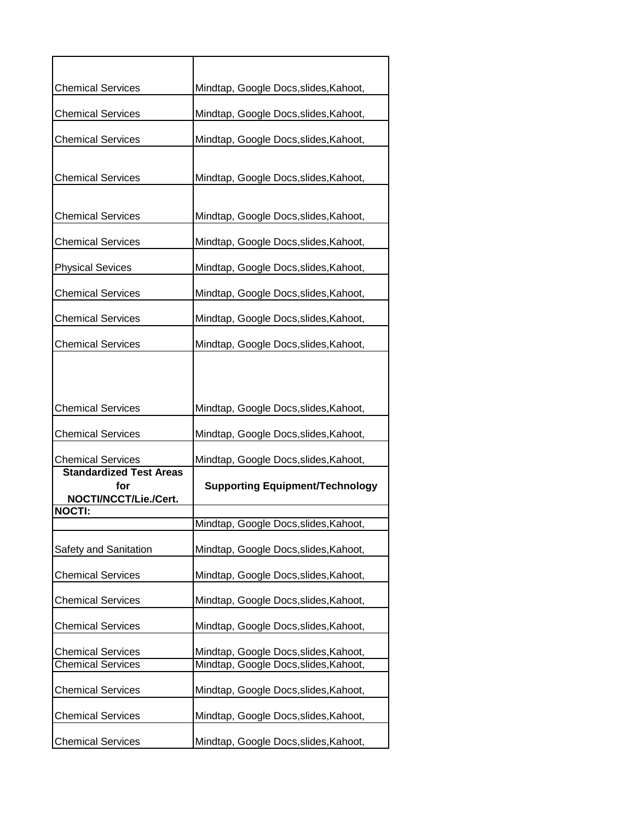| <b>Chemical Services</b>       | Mindtap, Google Docs, slides, Kahoot,  |
|--------------------------------|----------------------------------------|
| <b>Chemical Services</b>       | Mindtap, Google Docs, slides, Kahoot,  |
| <b>Chemical Services</b>       | Mindtap, Google Docs, slides, Kahoot,  |
|                                |                                        |
| <b>Chemical Services</b>       | Mindtap, Google Docs, slides, Kahoot,  |
| <b>Chemical Services</b>       | Mindtap, Google Docs, slides, Kahoot,  |
|                                |                                        |
| <b>Chemical Services</b>       | Mindtap, Google Docs, slides, Kahoot,  |
| <b>Physical Sevices</b>        | Mindtap, Google Docs, slides, Kahoot,  |
| <b>Chemical Services</b>       | Mindtap, Google Docs, slides, Kahoot,  |
| <b>Chemical Services</b>       | Mindtap, Google Docs, slides, Kahoot,  |
| <b>Chemical Services</b>       | Mindtap, Google Docs, slides, Kahoot,  |
|                                |                                        |
|                                |                                        |
| <b>Chemical Services</b>       | Mindtap, Google Docs, slides, Kahoot,  |
| <b>Chemical Services</b>       | Mindtap, Google Docs, slides, Kahoot,  |
| <b>Chemical Services</b>       | Mindtap, Google Docs, slides, Kahoot,  |
| <b>Standardized Test Areas</b> |                                        |
| for<br>NOCTI/NCCT/Lie./Cert.   | <b>Supporting Equipment/Technology</b> |
| NOCTI:                         | Mindtap, Google Docs, slides, Kahoot,  |
|                                |                                        |
| Safety and Sanitation          | Mindtap, Google Docs, slides, Kahoot,  |
| <b>Chemical Services</b>       | Mindtap, Google Docs, slides, Kahoot,  |
| <b>Chemical Services</b>       | Mindtap, Google Docs, slides, Kahoot,  |
| <b>Chemical Services</b>       | Mindtap, Google Docs, slides, Kahoot,  |
| <b>Chemical Services</b>       | Mindtap, Google Docs, slides, Kahoot,  |
| <b>Chemical Services</b>       | Mindtap, Google Docs, slides, Kahoot,  |
| <b>Chemical Services</b>       | Mindtap, Google Docs, slides, Kahoot,  |
| <b>Chemical Services</b>       | Mindtap, Google Docs, slides, Kahoot,  |
| <b>Chemical Services</b>       | Mindtap, Google Docs, slides, Kahoot,  |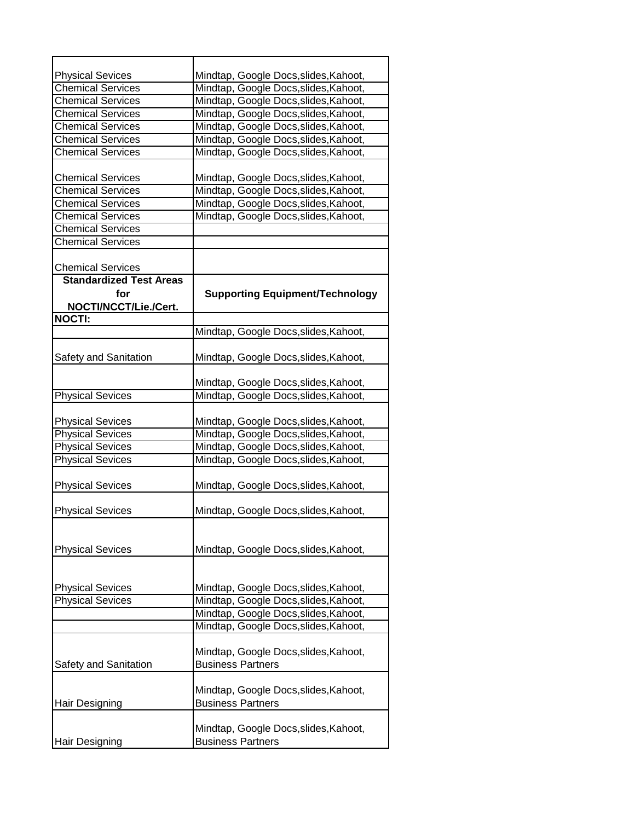| <b>Physical Sevices</b>                | Mindtap, Google Docs, slides, Kahoot,  |
|----------------------------------------|----------------------------------------|
| <b>Chemical Services</b>               | Mindtap, Google Docs, slides, Kahoot,  |
| <b>Chemical Services</b>               | Mindtap, Google Docs, slides, Kahoot,  |
| <b>Chemical Services</b>               | Mindtap, Google Docs, slides, Kahoot,  |
| <b>Chemical Services</b>               | Mindtap, Google Docs, slides, Kahoot,  |
| <b>Chemical Services</b>               | Mindtap, Google Docs, slides, Kahoot,  |
| <b>Chemical Services</b>               | Mindtap, Google Docs, slides, Kahoot,  |
|                                        |                                        |
| <b>Chemical Services</b>               | Mindtap, Google Docs, slides, Kahoot,  |
| <b>Chemical Services</b>               | Mindtap, Google Docs, slides, Kahoot,  |
| <b>Chemical Services</b>               | Mindtap, Google Docs, slides, Kahoot,  |
| <b>Chemical Services</b>               | Mindtap, Google Docs, slides, Kahoot,  |
| <b>Chemical Services</b>               |                                        |
| <b>Chemical Services</b>               |                                        |
|                                        |                                        |
| <b>Chemical Services</b>               |                                        |
| <b>Standardized Test Areas</b>         |                                        |
|                                        |                                        |
| for                                    | <b>Supporting Equipment/Technology</b> |
| NOCTI/NCCT/Lie./Cert.<br><b>NOCTI:</b> |                                        |
|                                        |                                        |
|                                        | Mindtap, Google Docs, slides, Kahoot,  |
|                                        |                                        |
| Safety and Sanitation                  | Mindtap, Google Docs, slides, Kahoot,  |
|                                        |                                        |
|                                        | Mindtap, Google Docs, slides, Kahoot,  |
| <b>Physical Sevices</b>                | Mindtap, Google Docs, slides, Kahoot,  |
|                                        |                                        |
| <b>Physical Sevices</b>                | Mindtap, Google Docs, slides, Kahoot,  |
| <b>Physical Sevices</b>                | Mindtap, Google Docs, slides, Kahoot,  |
| <b>Physical Sevices</b>                | Mindtap, Google Docs, slides, Kahoot,  |
| <b>Physical Sevices</b>                | Mindtap, Google Docs, slides, Kahoot,  |
|                                        |                                        |
| <b>Physical Sevices</b>                | Mindtap, Google Docs, slides, Kahoot,  |
|                                        |                                        |
| <b>Physical Sevices</b>                | Mindtap, Google Docs, slides, Kahoot,  |
|                                        |                                        |
|                                        |                                        |
| <b>Physical Sevices</b>                | Mindtap, Google Docs, slides, Kahoot,  |
|                                        |                                        |
|                                        |                                        |
| <b>Physical Sevices</b>                | Mindtap, Google Docs, slides, Kahoot,  |
| <b>Physical Sevices</b>                | Mindtap, Google Docs, slides, Kahoot,  |
|                                        | Mindtap, Google Docs, slides, Kahoot,  |
|                                        | Mindtap, Google Docs, slides, Kahoot,  |
|                                        |                                        |
|                                        | Mindtap, Google Docs, slides, Kahoot,  |
| Safety and Sanitation                  | <b>Business Partners</b>               |
|                                        |                                        |
|                                        | Mindtap, Google Docs, slides, Kahoot,  |
| <b>Hair Designing</b>                  | <b>Business Partners</b>               |
|                                        |                                        |
|                                        |                                        |
|                                        | Mindtap, Google Docs, slides, Kahoot,  |
| Hair Designing                         | <b>Business Partners</b>               |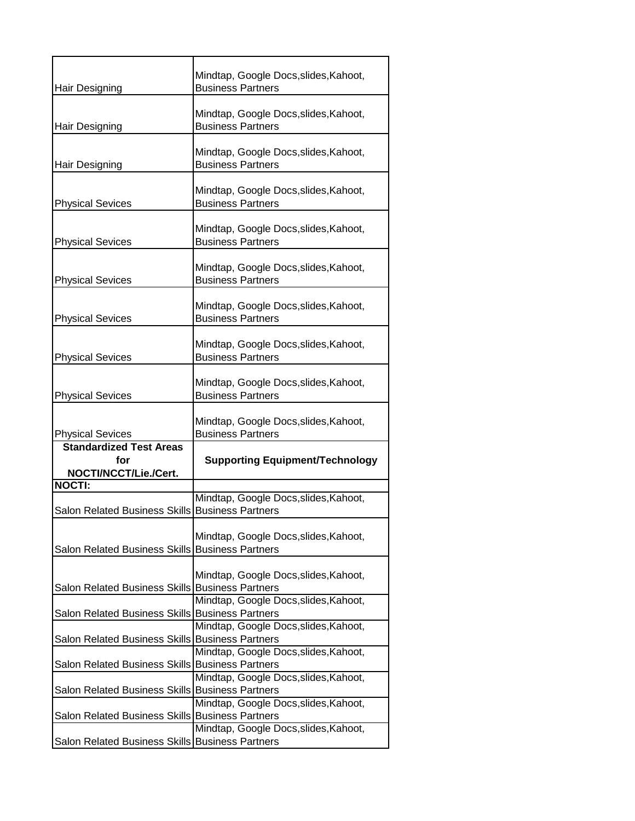| <b>Hair Designing</b>                           | Mindtap, Google Docs, slides, Kahoot,<br><b>Business Partners</b> |
|-------------------------------------------------|-------------------------------------------------------------------|
| Hair Designing                                  | Mindtap, Google Docs, slides, Kahoot,<br><b>Business Partners</b> |
| <b>Hair Designing</b>                           | Mindtap, Google Docs, slides, Kahoot,<br><b>Business Partners</b> |
| <b>Physical Sevices</b>                         | Mindtap, Google Docs, slides, Kahoot,<br><b>Business Partners</b> |
| <b>Physical Sevices</b>                         | Mindtap, Google Docs, slides, Kahoot,<br><b>Business Partners</b> |
| <b>Physical Sevices</b>                         | Mindtap, Google Docs, slides, Kahoot,<br><b>Business Partners</b> |
| <b>Physical Sevices</b>                         | Mindtap, Google Docs, slides, Kahoot,<br><b>Business Partners</b> |
| <b>Physical Sevices</b>                         | Mindtap, Google Docs, slides, Kahoot,<br><b>Business Partners</b> |
| <b>Physical Sevices</b>                         | Mindtap, Google Docs, slides, Kahoot,<br><b>Business Partners</b> |
| <b>Physical Sevices</b>                         | Mindtap, Google Docs, slides, Kahoot,<br><b>Business Partners</b> |
| <b>Standardized Test Areas</b><br>for           | <b>Supporting Equipment/Technology</b>                            |
| NOCTI/NCCT/Lie./Cert.<br><b>NOCTI:</b>          |                                                                   |
|                                                 | Mindtap, Google Docs, slides, Kahoot,                             |
| Salon Related Business Skills                   | <b>Business Partners</b>                                          |
| Salon Related Business Skills Business Partners | Mindtap, Google Docs, slides, Kahoot,                             |
| Salon Related Business Skills Business Partners | Mindtap, Google Docs, slides, Kahoot,                             |
| Salon Related Business Skills Business Partners | Mindtap, Google Docs, slides, Kahoot,                             |
|                                                 | Mindtap, Google Docs, slides, Kahoot,                             |
| Salon Related Business Skills Business Partners |                                                                   |
| Salon Related Business Skills Business Partners | Mindtap, Google Docs, slides, Kahoot,                             |
|                                                 | Mindtap, Google Docs, slides, Kahoot,                             |
| Salon Related Business Skills Business Partners | Mindtap, Google Docs, slides, Kahoot,                             |
| <b>Salon Related Business Skills</b>            | <b>Business Partners</b>                                          |
| Salon Related Business Skills                   | Mindtap, Google Docs, slides, Kahoot,<br><b>Business Partners</b> |
|                                                 |                                                                   |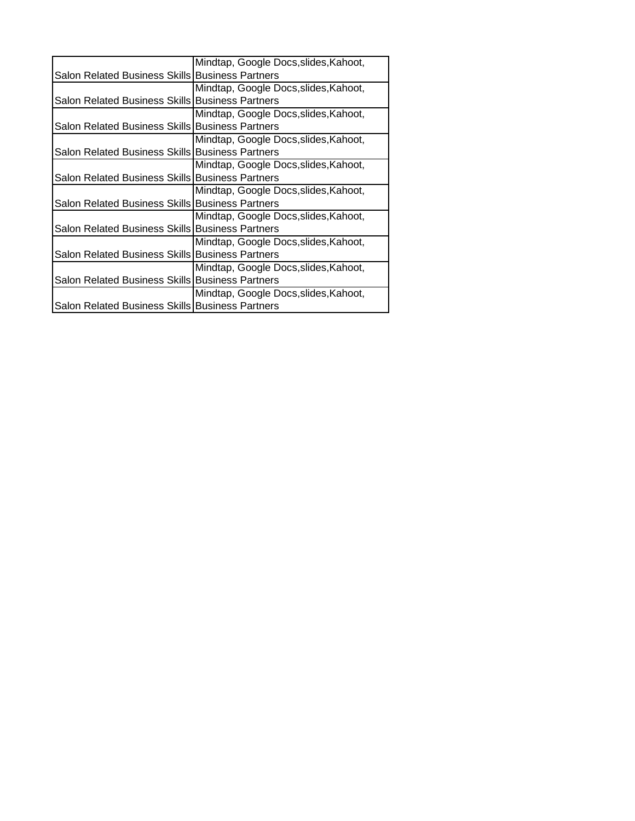|                                                        | Mindtap, Google Docs, slides, Kahoot, |
|--------------------------------------------------------|---------------------------------------|
| <b>Salon Related Business Skills Business Partners</b> |                                       |
|                                                        | Mindtap, Google Docs, slides, Kahoot, |
| Salon Related Business Skills Business Partners        |                                       |
|                                                        | Mindtap, Google Docs, slides, Kahoot, |
| Salon Related Business Skills Business Partners        |                                       |
|                                                        | Mindtap, Google Docs, slides, Kahoot, |
| Salon Related Business Skills Business Partners        |                                       |
|                                                        | Mindtap, Google Docs, slides, Kahoot, |
| Salon Related Business Skills Business Partners        |                                       |
|                                                        | Mindtap, Google Docs, slides, Kahoot, |
| Salon Related Business Skills Business Partners        |                                       |
|                                                        | Mindtap, Google Docs, slides, Kahoot, |
| Salon Related Business Skills Business Partners        |                                       |
|                                                        | Mindtap, Google Docs, slides, Kahoot, |
| Salon Related Business Skills Business Partners        |                                       |
|                                                        | Mindtap, Google Docs, slides, Kahoot, |
| Salon Related Business Skills Business Partners        |                                       |
|                                                        | Mindtap, Google Docs, slides, Kahoot, |
| Salon Related Business Skills Business Partners        |                                       |